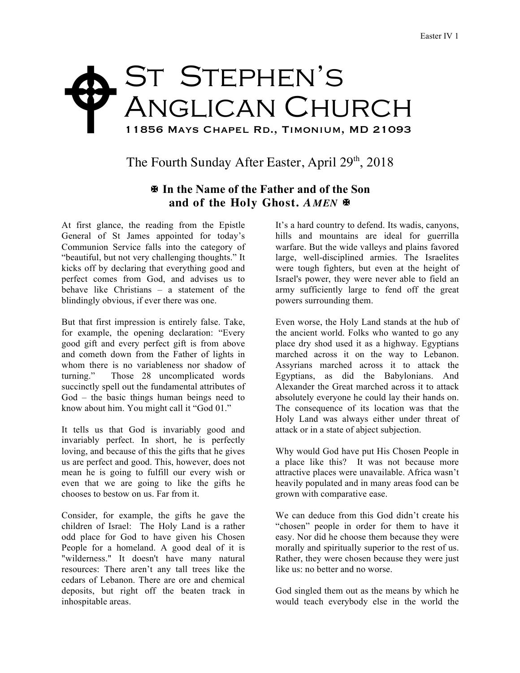## ST STEPHEN'S Anglican Church 11856 Mays Chapel Rd., Timonium, MD 21093  $\blacklozenge$

The Fourth Sunday After Easter, April 29<sup>th</sup>, 2018

## X **In the Name of the Father and of the Son and of the Holy Ghost.** *A MEN* X

At first glance, the reading from the Epistle General of St James appointed for today's Communion Service falls into the category of "beautiful, but not very challenging thoughts." It kicks off by declaring that everything good and perfect comes from God, and advises us to behave like Christians – a statement of the blindingly obvious, if ever there was one.

But that first impression is entirely false. Take, for example, the opening declaration: "Every good gift and every perfect gift is from above and cometh down from the Father of lights in whom there is no variableness nor shadow of turning." Those 28 uncomplicated words succinctly spell out the fundamental attributes of God – the basic things human beings need to know about him. You might call it "God 01."

It tells us that God is invariably good and invariably perfect. In short, he is perfectly loving, and because of this the gifts that he gives us are perfect and good. This, however, does not mean he is going to fulfill our every wish or even that we are going to like the gifts he chooses to bestow on us. Far from it.

Consider, for example, the gifts he gave the children of Israel: The Holy Land is a rather odd place for God to have given his Chosen People for a homeland. A good deal of it is "wilderness." It doesn't have many natural resources: There aren't any tall trees like the cedars of Lebanon. There are ore and chemical deposits, but right off the beaten track in inhospitable areas.

It's a hard country to defend. Its wadis, canyons, hills and mountains are ideal for guerrilla warfare. But the wide valleys and plains favored large, well-disciplined armies. The Israelites were tough fighters, but even at the height of Israel's power, they were never able to field an army sufficiently large to fend off the great powers surrounding them.

Even worse, the Holy Land stands at the hub of the ancient world. Folks who wanted to go any place dry shod used it as a highway. Egyptians marched across it on the way to Lebanon. Assyrians marched across it to attack the Egyptians, as did the Babylonians. And Alexander the Great marched across it to attack absolutely everyone he could lay their hands on. The consequence of its location was that the Holy Land was always either under threat of attack or in a state of abject subjection.

Why would God have put His Chosen People in a place like this? It was not because more attractive places were unavailable. Africa wasn't heavily populated and in many areas food can be grown with comparative ease.

We can deduce from this God didn't create his "chosen" people in order for them to have it easy. Nor did he choose them because they were morally and spiritually superior to the rest of us. Rather, they were chosen because they were just like us: no better and no worse.

God singled them out as the means by which he would teach everybody else in the world the